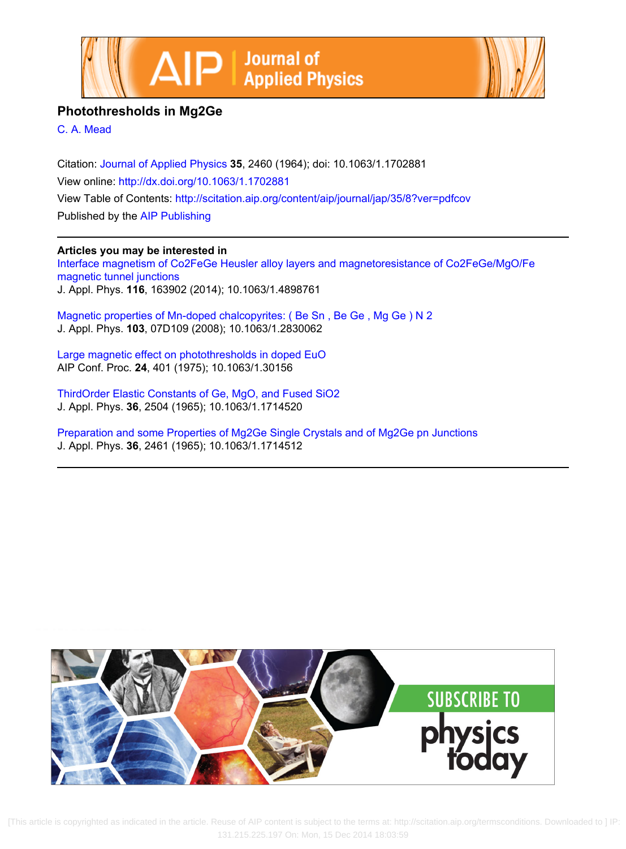



# **Photothresholds in Mg2Ge**

[C. A. Mead](http://scitation.aip.org/search?value1=C.+A.+Mead&option1=author)

Citation: [Journal of Applied Physics](http://scitation.aip.org/content/aip/journal/jap?ver=pdfcov) **35**, 2460 (1964); doi: 10.1063/1.1702881 View online:<http://dx.doi.org/10.1063/1.1702881> View Table of Contents: <http://scitation.aip.org/content/aip/journal/jap/35/8?ver=pdfcov> Published by the [AIP Publishing](http://scitation.aip.org/content/aip?ver=pdfcov)

# **Articles you may be interested in**

[Interface magnetism of Co2FeGe Heusler alloy layers and magnetoresistance of Co2FeGe/MgO/Fe](http://scitation.aip.org/content/aip/journal/jap/116/16/10.1063/1.4898761?ver=pdfcov) [magnetic tunnel junctions](http://scitation.aip.org/content/aip/journal/jap/116/16/10.1063/1.4898761?ver=pdfcov) J. Appl. Phys. **116**, 163902 (2014); 10.1063/1.4898761

[Magnetic properties of Mn-doped chalcopyrites: \( Be Sn , Be Ge , Mg Ge \) N 2](http://scitation.aip.org/content/aip/journal/jap/103/7/10.1063/1.2830062?ver=pdfcov) J. Appl. Phys. **103**, 07D109 (2008); 10.1063/1.2830062

[Large magnetic effect on photothresholds in doped EuO](http://scitation.aip.org/content/aip/proceeding/aipcp/10.1063/1.30156?ver=pdfcov) AIP Conf. Proc. **24**, 401 (1975); 10.1063/1.30156

[ThirdOrder Elastic Constants of Ge, MgO, and Fused SiO2](http://scitation.aip.org/content/aip/journal/jap/36/8/10.1063/1.1714520?ver=pdfcov) J. Appl. Phys. **36**, 2504 (1965); 10.1063/1.1714520

[Preparation and some Properties of Mg2Ge Single Crystals and of Mg2Ge pn Junctions](http://scitation.aip.org/content/aip/journal/jap/36/8/10.1063/1.1714512?ver=pdfcov) J. Appl. Phys. **36**, 2461 (1965); 10.1063/1.1714512



 [This a[rticle is copyrighted as indicated in the article. Reuse of AIP content is subject to the terms at: http://scitation.aip.org/termsconditions. Downlo](http://oasc12039.247realmedia.com/RealMedia/ads/click_lx.ads/www.aip.org/pt/adcenter/pdfcover_test/L-37/1048711586/x01/AIP-PT/JMP_ArticleDL_121014/PT_SubscriptionAd_1640x440.jpg/47344656396c504a5a37344142416b75?x)aded to ] IP: 131.215.225.197 On: Mon, 15 Dec 2014 18:03:59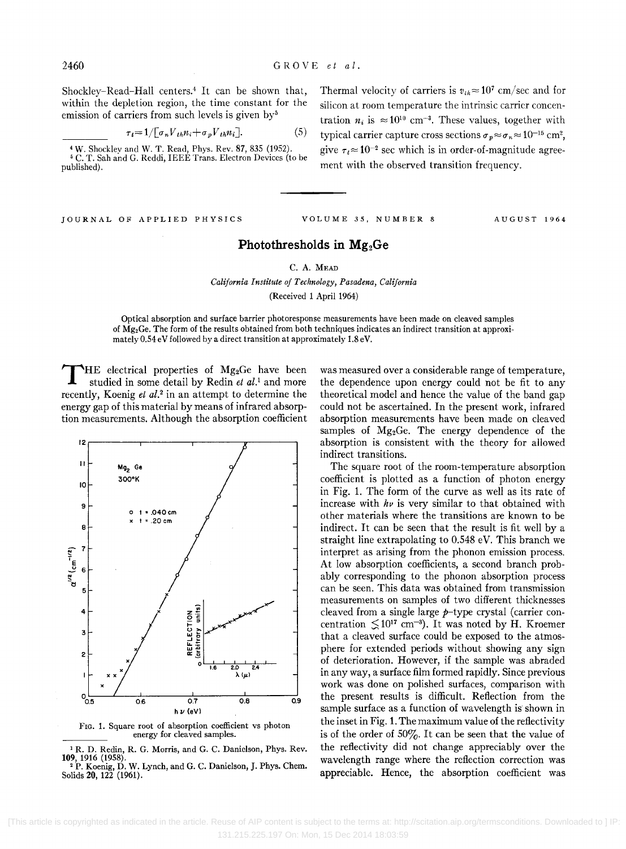2460 GROVE *et at.* 

Shockley-Read-Hall centers.4 It can be shown that, within the depletion region, the time constant for the emission of carriers from such levels is given by $5$ 

$$
\tau_i = 1/[\sigma_n V_{th} n_i + \sigma_p V_{th} n_i]. \tag{5}
$$

4 W. Shockley and W. T. Read, Phys. Rev. 87,835 (1952). 5 C. T. Sah and G. Reddi, IEEE Trans. Electron Devices (to be published).

JOURNAL OF APPLIED PHYSICS VOLUME 35, NUMBER 8 AUGUST 1964

## Photothresholds in Mg<sub>2</sub>Ge

## C. A. MEAD

*California Institute of Technology, Pasadena, California*  (Received 1 April 1964)

Optical absorption and surface barrier photoresponse measurements have been made on cleaved samples of  $\dot{M}g_2$ Ge. The form of the results obtained from both techniques indicates an indirect transition at approximately 0.54 eV followed by a direct transition at approximately 1.8 eV.

HE electrical properties of Mg<sub>2</sub>Ge have been studied in some detail by Redin *et al.<sup>1</sup>* and more recently, Koenig *et al.*<sup>2</sup> in an attempt to determine the energy gap of this material by means of infrared absorption measurements. Although the absorption coefficient



FIG. 1. Square root of absorption coefficient vs photon energy for cleaved samples.

<sup>1</sup> R. D. Redin, R. G. Morris, and G. C. Danielson, Phys. Rev. **109**, 1916 (1958). <sup>2</sup>P. Koenig, D. W. Lynch, and G. C. Danielson, J. Phys. Chem. Solids 20, 122 (1961).

was measured over a considerable range of temperature, the dependence upon energy could not be fit to any theoretical model and hence the value of the band gap could not be ascertained. In the present work, infrared absorption measurements have been made on cleaved samples of Mg2Ge. The energy dependence of the absorption is consistent with the theory for allowed indirect transitions.

The square root of the room-temperature absorption coefficient is plotted as a function of photon energy in Fig. 1. The form of the curve as well as its rate of increase with *hv* is very similar to that obtained with other materials where the transitions are known to be indirect. It can be seen that the result is fit well by a straight line extrapolating to 0.548 eV. This branch we interpret as arising from the phonon emission process. At low absorption coefficients, a second branch probably corresponding to the phonon absorption process can be seen. This data was obtained from transmission measurements on samples of two different thicknesses cleaved from a single large p-type crystal (carrier concentration  $\leq 10^{17}$  cm<sup>-3</sup>). It was noted by H. Kroemer that a cleaved surface could be exposed to the atmosphere for extended periods without showing any sign of deterioration. However, if the sample was abraded in any way, a surface film formed rapidly. Since previous work was done on polished surfaces, comparison with the present results is difficult. Reflection from the sample surface as a function of wavelength is shown in the inset in Fig. 1. The maximum value of the reflectivity is of the order of  $50\%$ . It can be seen that the value of the reflectivity did not change appreciably over the wavelength range where the reflection correction was appreciable. Hence, the absorption coefficient was

Thermal velocity of carriers is  $v_{th} \approx 10^7$  cm/sec and for silicon at room temperature the intrinsic carrier concentration  $n_i$  is  $\approx 10^{10}$  cm<sup>-3</sup>. These values, together with typical carrier capture cross sections  $\sigma_p \approx \sigma_n \approx 10^{-15}$  cm<sup>2</sup>, give  $\tau_t \approx 10^{-2}$  sec which is in order-of-magnitude agreement with the observed transition frequency.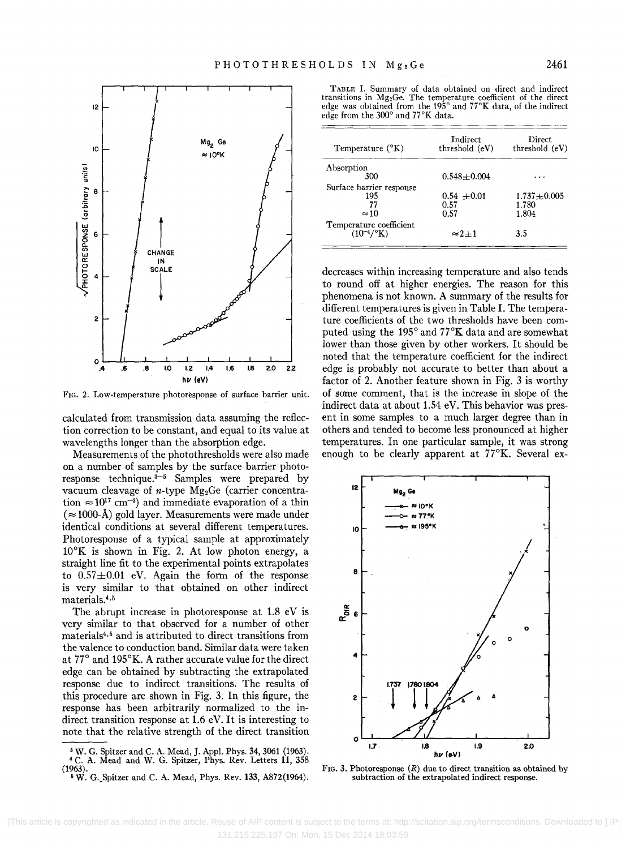

FIG. 2. Low-temperature photoresponse of surface barrier unit.

calculated from transmission data assuming the reflection correction to be constant, and equal to its value at wavelengths longer than the absorption edge.

Measurements of the photothresholds were also made on a number of samples by the surface barrier photoresponse technique. $3-5$  Samples were prepared by vacuum cleavage of *n*-type Mg<sub>2</sub>Ge (carrier concentration  $\approx 10^{17}$  cm<sup>-3</sup>) and immediate evaporation of a thin  $(\approx 1000$ -Å) gold layer. Measurements were made under identical conditions at several different temperatures. Photoresponse of a typical sample at approximately  $10^{\circ}$ K is shown in Fig. 2. At low photon energy, a straight line fit to the experimental points extrapolates to  $0.57 \pm 0.01$  eV. Again the form of the response is very similar to that obtained on other indirect materials.4 ,5

The abrupt increase in photoresponse at 1.8 eV is very similar to that observed for a number of other materials4,5 and is attributed to direct transitions from the valence to conduction band. Similar data were taken at 77° and 195°K, A rather accurate value for the direct edge can be obtained by subtracting the extrapolated response due to indirect transitions. The results of this procedure are shown in Fig. 3. In this figure, the response has been arbitrarily normalized to the indirect transition response at 1.6 eV. It is interesting to note that the relative strength of the direct transition

<sup>3</sup> W. G. Spitzer and C. A. Mead, J. Appl. Phys. 34, 3061 (1963).<br><sup>4</sup> C. A. Mead and W. G. Spitzer, Phys. Rev. Letters 11, 358 (1963).

TABLE I. Summary of data obtained on direct and indirect transitions in Mg2Ge. The temperature coefficient of the direct edge was obtained from the 195° and 77°K data, of the indirect edge from the 300° and 77°K data.

| Temperature $({}^{\circ}K)$                     | Indirect<br>threshold (eV) | <b>Direct</b><br>threshold (eV) |
|-------------------------------------------------|----------------------------|---------------------------------|
| Absorption                                      |                            |                                 |
| 300                                             | $0.548 + 0.004$            |                                 |
| Surface barrier response                        |                            |                                 |
| 195                                             | $0.54 + 0.01$              | $1.737 \pm 0.005$               |
| 77                                              | 0.57                       | 1.780                           |
| $\approx$ 10                                    | 0.57                       | 1.804                           |
| Temperature coefficient<br>$(10^{-4}/\text{K})$ | $\approx$ 2+1              | 3.5                             |

decreases within increasing temperature and also tends to round off at higher energies. The reason for this phenomena is not known. A summary of the results for different temperatures is given in Table I. The temperature coefficients of the two thresholds have been computed using the 195° and 77°K data and are somewhat lower than those given by other workers. It should be noted that the temperature coefficient for the indirect edge is probably not accurate to better than about a factor of 2. Another feature shown in Fig. 3 is worthy of some comment, that is the increase in slope of the indirect data at about 1.54 eV. This behavior was present in some samples to a much larger degree than in others and tended to become less pronounced at higher temperatures. In one particular sample, it was strong enough to be clearly apparent at 77°K, Several ex-



FIG. 3. Photoresponse  $(R)$  due to direct transition as obtained by subtraction of the extrapolated indirect response.

 $*$  W. G. Spitzer and C. A. Mead, Phys. Rev. 133, A872(1964).